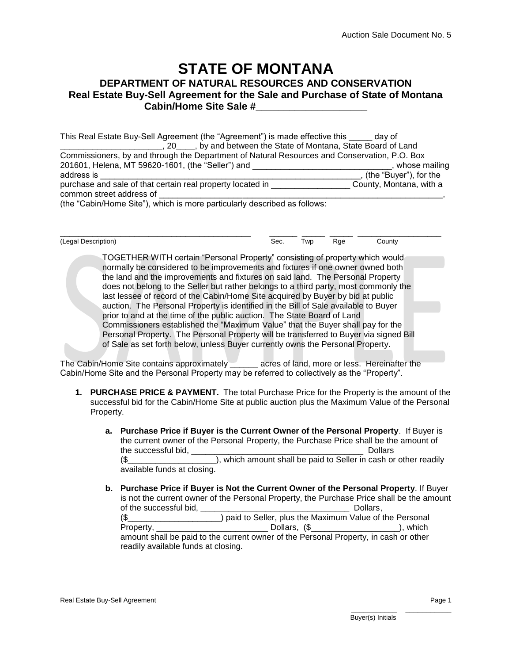## **STATE OF MONTANA DEPARTMENT OF NATURAL RESOURCES AND CONSERVATION Real Estate Buy-Sell Agreement for the Sale and Purchase of State of Montana Cabin/Home Site Sale #\_\_\_\_\_\_\_\_\_\_\_\_\_\_\_\_\_\_\_\_**

| This Real Estate Buy-Sell Agreement (the "Agreement") is made effective this day of          |                          |
|----------------------------------------------------------------------------------------------|--------------------------|
| _, 20 ____, by and between the State of Montana, State Board of Land                         |                          |
| Commissioners, by and through the Department of Natural Resources and Conservation, P.O. Box |                          |
| 201601, Helena, MT 59620-1601, (the "Seller") and                                            | whose mailing            |
| address is                                                                                   | , (the "Buyer"), for the |
| purchase and sale of that certain real property located in ____                              | County, Montana, with a  |
| common street address of                                                                     |                          |
| (the "Cabin/Home Site"), which is more particularly described as follows:                    |                          |

\_\_\_\_\_\_\_\_\_\_\_\_\_\_\_\_\_\_\_\_\_\_\_\_\_\_\_\_\_\_\_\_\_\_\_\_\_\_\_\_\_ \_\_\_\_\_\_ \_\_\_\_\_ \_\_\_\_\_ \_\_\_\_\_\_\_\_\_\_\_\_\_\_\_\_\_\_ (Legal Description) The Sec. Two Rge County

> TOGETHER WITH certain "Personal Property" consisting of property which would normally be considered to be improvements and fixtures if one owner owned both the land and the improvements and fixtures on said land. The Personal Property does not belong to the Seller but rather belongs to a third party, most commonly the last lessee of record of the Cabin/Home Site acquired by Buyer by bid at public auction. The Personal Property is identified in the Bill of Sale available to Buyer prior to and at the time of the public auction. The State Board of Land Commissioners established the "Maximum Value" that the Buyer shall pay for the Personal Property. The Personal Property will be transferred to Buyer via signed Bill of Sale as set forth below, unless Buyer currently owns the Personal Property.

The Cabin/Home Site contains approximately \_\_\_\_\_\_ acres of land, more or less. Hereinafter the Cabin/Home Site and the Personal Property may be referred to collectively as the "Property".

- **1. PURCHASE PRICE & PAYMENT.** The total Purchase Price for the Property is the amount of the successful bid for the Cabin/Home Site at public auction plus the Maximum Value of the Personal Property.
	- **a. Purchase Price if Buyer is the Current Owner of the Personal Property**. If Buyer is the current owner of the Personal Property, the Purchase Price shall be the amount of the successful bid, the successful bid, the successful bid, the successful bid, the successful bid, the successful bid, the successful bid, the successful bid, the successful bid, the successful bid, the successful bid, th (\$\_\_\_\_\_\_\_\_\_\_\_\_\_\_\_\_\_\_\_), which amount shall be paid to Seller in cash or other readily

available funds at closing.

**b. Purchase Price if Buyer is Not the Current Owner of the Personal Property**. If Buyer is not the current owner of the Personal Property, the Purchase Price shall be the amount of the successful bid,  $\Box$  Dollars,  $\Box$ (\$\_\_\_\_\_\_\_\_\_\_\_\_\_\_\_\_\_\_\_\_) paid to Seller, plus the Maximum Value of the Personal Property, \_\_\_\_\_\_\_\_\_\_\_\_\_\_\_\_\_\_\_\_\_\_\_\_\_\_\_\_\_\_\_\_\_\_\_Dollars, (\$\_\_\_\_\_\_\_\_\_\_\_\_\_\_\_\_\_\_\_\_\_\_\_\_), which amount shall be paid to the current owner of the Personal Property, in cash or other readily available funds at closing.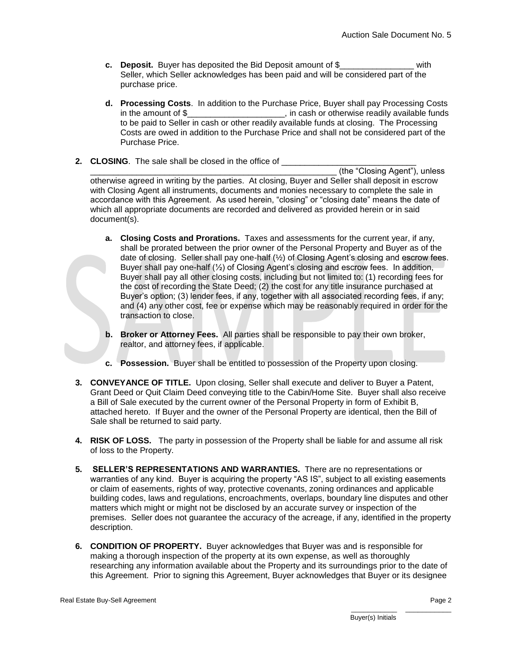- **c. Deposit.** Buyer has deposited the Bid Deposit amount of \$\_\_\_\_\_\_\_\_\_\_\_\_\_\_\_\_ with Seller, which Seller acknowledges has been paid and will be considered part of the purchase price.
- **d. Processing Costs**. In addition to the Purchase Price, Buyer shall pay Processing Costs in the amount of \$\_\_\_\_\_\_\_\_\_\_\_\_\_\_\_\_\_\_\_\_\_\_, in cash or otherwise readily available funds to be paid to Seller in cash or other readily available funds at closing. The Processing Costs are owed in addition to the Purchase Price and shall not be considered part of the Purchase Price.
- **2. CLOSING**. The sale shall be closed in the office of

\_\_\_\_\_\_\_\_\_\_\_\_\_\_\_\_\_\_\_\_\_\_\_\_\_\_\_\_\_\_\_\_\_\_\_\_\_\_\_\_\_\_\_\_\_\_\_\_\_\_\_\_\_ (the "Closing Agent"), unless otherwise agreed in writing by the parties. At closing, Buyer and Seller shall deposit in escrow with Closing Agent all instruments, documents and monies necessary to complete the sale in accordance with this Agreement. As used herein, "closing" or "closing date" means the date of which all appropriate documents are recorded and delivered as provided herein or in said document(s).

- **a. Closing Costs and Prorations.** Taxes and assessments for the current year, if any, shall be prorated between the prior owner of the Personal Property and Buyer as of the date of closing. Seller shall pay one-half (½) of Closing Agent's closing and escrow fees. Buyer shall pay one-half (½) of Closing Agent's closing and escrow fees. In addition, Buyer shall pay all other closing costs, including but not limited to: (1) recording fees for the cost of recording the State Deed; (2) the cost for any title insurance purchased at Buyer's option; (3) lender fees, if any, together with all associated recording fees, if any; and (4) any other cost, fee or expense which may be reasonably required in order for the transaction to close.
- **b. Broker or Attorney Fees.** All parties shall be responsible to pay their own broker, realtor, and attorney fees, if applicable.
- **c. Possession.** Buyer shall be entitled to possession of the Property upon closing.
- **3. CONVEYANCE OF TITLE.** Upon closing, Seller shall execute and deliver to Buyer a Patent, Grant Deed or Quit Claim Deed conveying title to the Cabin/Home Site. Buyer shall also receive a Bill of Sale executed by the current owner of the Personal Property in form of Exhibit B, attached hereto. If Buyer and the owner of the Personal Property are identical, then the Bill of Sale shall be returned to said party.
- **4. RISK OF LOSS.** The party in possession of the Property shall be liable for and assume all risk of loss to the Property.
- **5. SELLER'S REPRESENTATIONS AND WARRANTIES.** There are no representations or warranties of any kind. Buyer is acquiring the property "AS IS", subject to all existing easements or claim of easements, rights of way, protective covenants, zoning ordinances and applicable building codes, laws and regulations, encroachments, overlaps, boundary line disputes and other matters which might or might not be disclosed by an accurate survey or inspection of the premises. Seller does not guarantee the accuracy of the acreage, if any, identified in the property description.
- **6. CONDITION OF PROPERTY.** Buyer acknowledges that Buyer was and is responsible for making a thorough inspection of the property at its own expense, as well as thoroughly researching any information available about the Property and its surroundings prior to the date of this Agreement. Prior to signing this Agreement, Buyer acknowledges that Buyer or its designee

\_\_\_\_\_\_\_\_\_\_\_ \_\_\_\_\_\_\_\_\_\_\_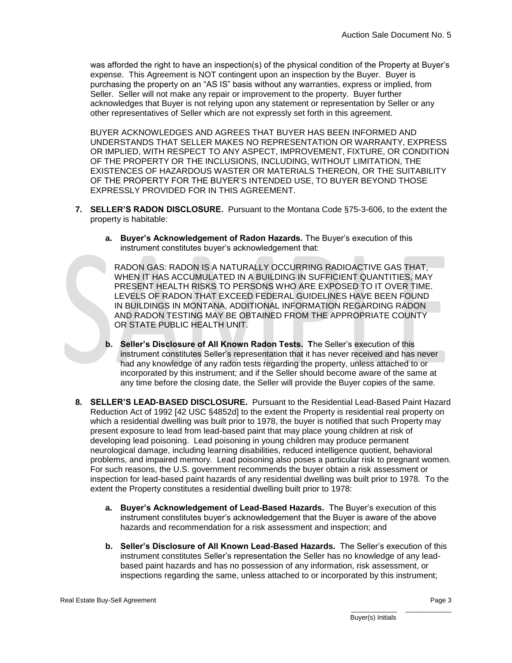was afforded the right to have an inspection(s) of the physical condition of the Property at Buyer's expense. This Agreement is NOT contingent upon an inspection by the Buyer. Buyer is purchasing the property on an "AS IS" basis without any warranties, express or implied, from Seller. Seller will not make any repair or improvement to the property. Buyer further acknowledges that Buyer is not relying upon any statement or representation by Seller or any other representatives of Seller which are not expressly set forth in this agreement.

BUYER ACKNOWLEDGES AND AGREES THAT BUYER HAS BEEN INFORMED AND UNDERSTANDS THAT SELLER MAKES NO REPRESENTATION OR WARRANTY, EXPRESS OR IMPLIED, WITH RESPECT TO ANY ASPECT, IMPROVEMENT, FIXTURE, OR CONDITION OF THE PROPERTY OR THE INCLUSIONS, INCLUDING, WITHOUT LIMITATION, THE EXISTENCES OF HAZARDOUS WASTER OR MATERIALS THEREON, OR THE SUITABILITY OF THE PROPERTY FOR THE BUYER'S INTENDED USE, TO BUYER BEYOND THOSE EXPRESSLY PROVIDED FOR IN THIS AGREEMENT.

- **7. SELLER'S RADON DISCLOSURE.** Pursuant to the Montana Code §75-3-606, to the extent the property is habitable:
	- **a. Buyer's Acknowledgement of Radon Hazards.** The Buyer's execution of this instrument constitutes buyer's acknowledgement that:

RADON GAS: RADON IS A NATURALLY OCCURRING RADIOACTIVE GAS THAT, WHEN IT HAS ACCUMULATED IN A BUILDING IN SUFFICIENT QUANTITIES, MAY PRESENT HEALTH RISKS TO PERSONS WHO ARE EXPOSED TO IT OVER TIME. LEVELS OF RADON THAT EXCEED FEDERAL GUIDELINES HAVE BEEN FOUND IN BUILDINGS IN MONTANA, ADDITIONAL INFORMATION REGARDING RADON AND RADON TESTING MAY BE OBTAINED FROM THE APPROPRIATE COUNTY OR STATE PUBLIC HEALTH UNIT.

- **b. Seller's Disclosure of All Known Radon Tests. T**he Seller's execution of this instrument constitutes Seller's representation that it has never received and has never had any knowledge of any radon tests regarding the property, unless attached to or incorporated by this instrument; and if the Seller should become aware of the same at any time before the closing date, the Seller will provide the Buyer copies of the same.
- **8. SELLER'S LEAD-BASED DISCLOSURE.** Pursuant to the Residential Lead-Based Paint Hazard Reduction Act of 1992 [42 USC §4852d] to the extent the Property is residential real property on which a residential dwelling was built prior to 1978, the buyer is notified that such Property may present exposure to lead from lead-based paint that may place young children at risk of developing lead poisoning. Lead poisoning in young children may produce permanent neurological damage, including learning disabilities, reduced intelligence quotient, behavioral problems, and impaired memory. Lead poisoning also poses a particular risk to pregnant women. For such reasons, the U.S. government recommends the buyer obtain a risk assessment or inspection for lead-based paint hazards of any residential dwelling was built prior to 1978. To the extent the Property constitutes a residential dwelling built prior to 1978:
	- **a. Buyer's Acknowledgement of Lead-Based Hazards.** The Buyer's execution of this instrument constitutes buyer's acknowledgement that the Buyer is aware of the above hazards and recommendation for a risk assessment and inspection; and
	- **b. Seller's Disclosure of All Known Lead-Based Hazards.** The Seller's execution of this instrument constitutes Seller's representation the Seller has no knowledge of any leadbased paint hazards and has no possession of any information, risk assessment, or inspections regarding the same, unless attached to or incorporated by this instrument;

\_\_\_\_\_\_\_\_\_\_\_ \_\_\_\_\_\_\_\_\_\_\_ Buyer(s) Initials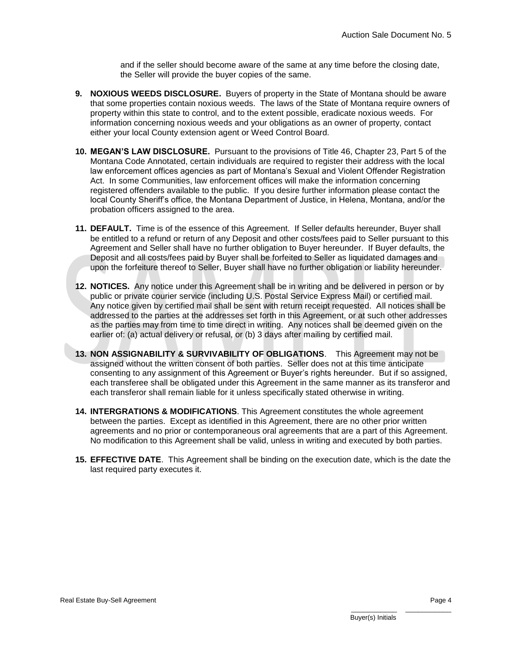and if the seller should become aware of the same at any time before the closing date, the Seller will provide the buyer copies of the same.

- **9. NOXIOUS WEEDS DISCLOSURE.** Buyers of property in the State of Montana should be aware that some properties contain noxious weeds. The laws of the State of Montana require owners of property within this state to control, and to the extent possible, eradicate noxious weeds. For information concerning noxious weeds and your obligations as an owner of property, contact either your local County extension agent or Weed Control Board.
- **10. MEGAN'S LAW DISCLOSURE.** Pursuant to the provisions of Title 46, Chapter 23, Part 5 of the Montana Code Annotated, certain individuals are required to register their address with the local law enforcement offices agencies as part of Montana's Sexual and Violent Offender Registration Act. In some Communities, law enforcement offices will make the information concerning registered offenders available to the public. If you desire further information please contact the local County Sheriff's office, the Montana Department of Justice, in Helena, Montana, and/or the probation officers assigned to the area.
- **11. DEFAULT.** Time is of the essence of this Agreement. If Seller defaults hereunder, Buyer shall be entitled to a refund or return of any Deposit and other costs/fees paid to Seller pursuant to this Agreement and Seller shall have no further obligation to Buyer hereunder. If Buyer defaults, the Deposit and all costs/fees paid by Buyer shall be forfeited to Seller as liquidated damages and upon the forfeiture thereof to Seller, Buyer shall have no further obligation or liability hereunder.
- **12. NOTICES.** Any notice under this Agreement shall be in writing and be delivered in person or by public or private courier service (including U.S. Postal Service Express Mail) or certified mail. Any notice given by certified mail shall be sent with return receipt requested. All notices shall be addressed to the parties at the addresses set forth in this Agreement, or at such other addresses as the parties may from time to time direct in writing. Any notices shall be deemed given on the earlier of: (a) actual delivery or refusal, or (b) 3 days after mailing by certified mail.
- **13. NON ASSIGNABILITY & SURVIVABILITY OF OBLIGATIONS**. This Agreement may not be assigned without the written consent of both parties. Seller does not at this time anticipate consenting to any assignment of this Agreement or Buyer's rights hereunder. But if so assigned, each transferee shall be obligated under this Agreement in the same manner as its transferor and each transferor shall remain liable for it unless specifically stated otherwise in writing.
- **14. INTERGRATIONS & MODIFICATIONS**. This Agreement constitutes the whole agreement between the parties. Except as identified in this Agreement, there are no other prior written agreements and no prior or contemporaneous oral agreements that are a part of this Agreement. No modification to this Agreement shall be valid, unless in writing and executed by both parties.
- **15. EFFECTIVE DATE**. This Agreement shall be binding on the execution date, which is the date the last required party executes it.